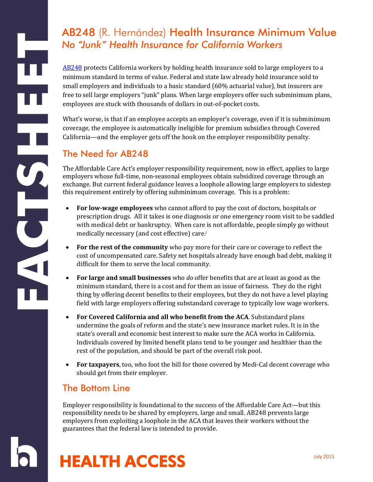[AB248](http://leginfo.legislature.ca.gov/faces/billNavClient.xhtml?bill_id=201520160AB248) protects California workers by holding health insurance sold to large employers to a minimum standard in terms of value. Federal and state law already hold insurance sold to small employers and individuals to a basic standard (60% actuarial value), but insurers are free to sell large employers "junk" plans. When large employers offer such subminimum plans, employees are stuck with thousands of dollars in out-of-pocket costs.

What's worse, is that if an employee accepts an employer's coverage, even if it is subminimum coverage, the employee is automatically ineligible for premium subsidies through Covered California—and the employer gets off the hook on the employer responsibility penalty.

# The Need for AB248

HH HH

HOL

The Affordable Care Act's employer responsibility requirement, now in effect, applies to large employers whose full-time, non-seasonal employees obtain subsidized coverage through an exchange. But current federal guidance leaves a loophole allowing large employers to sidestep this requirement entirely by offering subminimum coverage. This is a problem:

- **For low-wage employees** who cannot afford to pay the cost of doctors, hospitals or prescription drugs. All it takes is one diagnosis or one emergency room visit to be saddled with medical debt or bankruptcy. When care is not affordable, people simply go without medically necessary (and cost effective) care.<sup>i</sup>
- **For the rest of the community** who pay more for their care or coverage to reflect the cost of uncompensated care. Safety net hospitals already have enough bad debt, making it difficult for them to serve the local community.
- **For large and small businesses** who *do* offer benefits that are at least as good as the minimum standard, there is a cost and for them an issue of fairness. They do the right thing by offering decent benefits to their employees, but they do not have a level playing field with large employers offering substandard coverage to typically low wage workers.
- **For Covered California and all who benefit from the ACA**. Substandard plans undermine the goals of reform and the state's new insurance market rules. It is in the state's overall and economic best interest to make sure the ACA works in California. Individuals covered by limited benefit plans tend to be younger and healthier than the rest of the population, and should be part of the overall risk pool.
- **For taxpayers**, too, who foot the bill for those covered by Medi-Cal decent coverage who should get from their employer.

# The Bottom Line

Employer responsibility is foundational to the success of the Affordable Care Act—but this responsibility needs to be shared by employers, large and small. AB248 prevents large employers from exploiting a loophole in the ACA that leaves their workers without the guarantees that the federal law is intended to provide.

# HEALTH ACCESS THE DUIN 2015